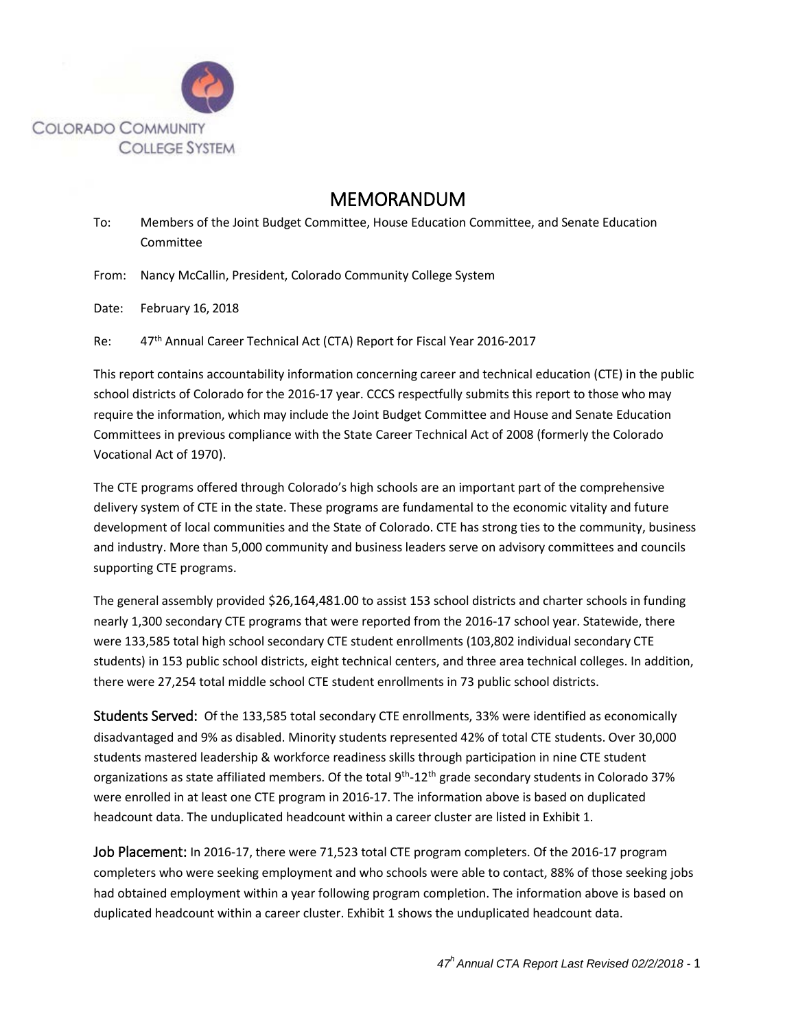

## MEMORANDUM

To: Members of the Joint Budget Committee, House Education Committee, and Senate Education Committee

From: Nancy McCallin, President, Colorado Community College System

Date: February 16, 2018

Re: 47<sup>th</sup> Annual Career Technical Act (CTA) Report for Fiscal Year 2016-2017

This report contains accountability information concerning career and technical education (CTE) in the public school districts of Colorado for the 2016-17 year. CCCS respectfully submits this report to those who may require the information, which may include the Joint Budget Committee and House and Senate Education Committees in previous compliance with the State Career Technical Act of 2008 (formerly the Colorado Vocational Act of 1970).

The CTE programs offered through Colorado's high schools are an important part of the comprehensive delivery system of CTE in the state. These programs are fundamental to the economic vitality and future development of local communities and the State of Colorado. CTE has strong ties to the community, business and industry. More than 5,000 community and business leaders serve on advisory committees and councils supporting CTE programs.

The general assembly provided \$26,164,481.00 to assist 153 school districts and charter schools in funding nearly 1,300 secondary CTE programs that were reported from the 2016-17 school year. Statewide, there were 133,585 total high school secondary CTE student enrollments (103,802 individual secondary CTE students) in 153 public school districts, eight technical centers, and three area technical colleges. In addition, there were 27,254 total middle school CTE student enrollments in 73 public school districts.

Students Served: Of the 133,585 total secondary CTE enrollments, 33% were identified as economically disadvantaged and 9% as disabled. Minority students represented 42% of total CTE students. Over 30,000 students mastered leadership & workforce readiness skills through participation in nine CTE student organizations as state affiliated members. Of the total  $9<sup>th</sup>$ -12<sup>th</sup> grade secondary students in Colorado 37% were enrolled in at least one CTE program in 2016-17. The information above is based on duplicated headcount data. The unduplicated headcount within a career cluster are listed in Exhibit 1.

Job Placement: In 2016-17, there were 71,523 total CTE program completers. Of the 2016-17 program completers who were seeking employment and who schools were able to contact, 88% of those seeking jobs had obtained employment within a year following program completion. The information above is based on duplicated headcount within a career cluster. Exhibit 1 shows the unduplicated headcount data.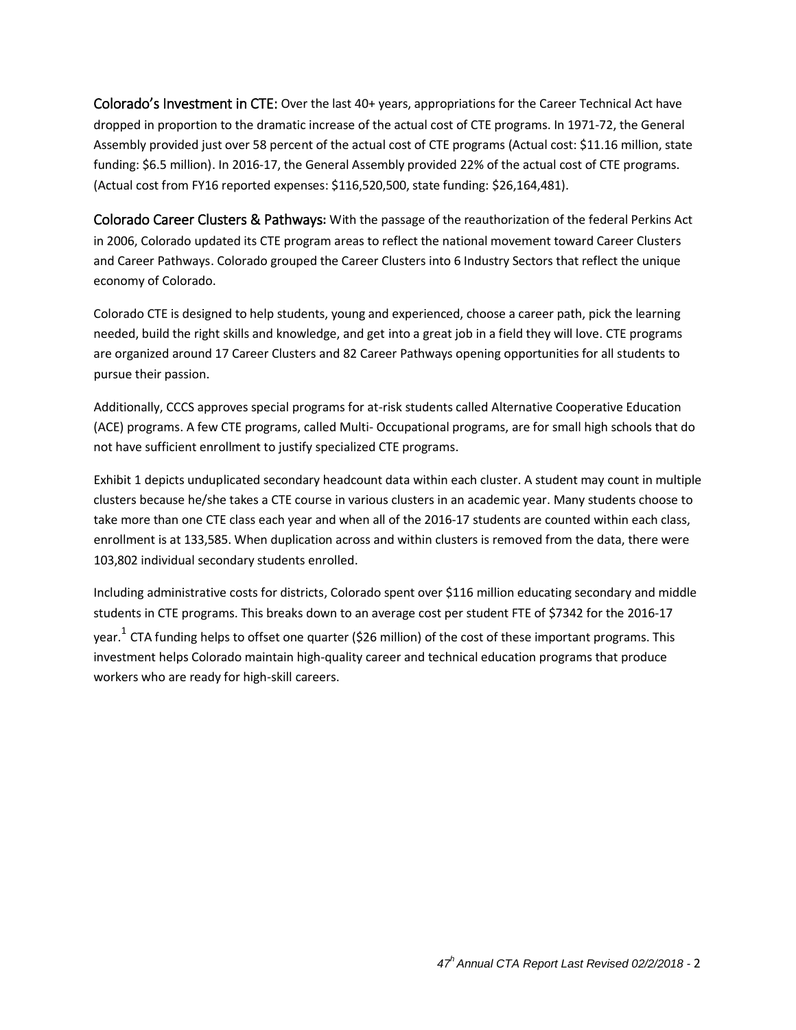Colorado's Investment in CTE: Over the last 40+ years, appropriations for the Career Technical Act have dropped in proportion to the dramatic increase of the actual cost of CTE programs. In 1971-72, the General Assembly provided just over 58 percent of the actual cost of CTE programs (Actual cost: \$11.16 million, state funding: \$6.5 million). In 2016-17, the General Assembly provided 22% of the actual cost of CTE programs. (Actual cost from FY16 reported expenses: \$116,520,500, state funding: \$26,164,481).

Colorado Career Clusters & Pathways**:** With the passage of the reauthorization of the federal Perkins Act in 2006, Colorado updated its CTE program areas to reflect the national movement toward Career Clusters and Career Pathways. Colorado grouped the Career Clusters into 6 Industry Sectors that reflect the unique economy of Colorado.

Colorado CTE is designed to help students, young and experienced, choose a career path, pick the learning needed, build the right skills and knowledge, and get into a great job in a field they will love. CTE programs are organized around 17 Career Clusters and 82 Career Pathways opening opportunities for all students to pursue their passion.

Additionally, CCCS approves special programs for at-risk students called Alternative Cooperative Education (ACE) programs. A few CTE programs, called Multi- Occupational programs, are for small high schools that do not have sufficient enrollment to justify specialized CTE programs.

Exhibit 1 depicts unduplicated secondary headcount data within each cluster. A student may count in multiple clusters because he/she takes a CTE course in various clusters in an academic year. Many students choose to take more than one CTE class each year and when all of the 2016-17 students are counted within each class, enrollment is at 133,585. When duplication across and within clusters is removed from the data, there were 103,802 individual secondary students enrolled.

Including administrative costs for districts, Colorado spent over \$116 million educating secondary and middle students in CTE programs. This breaks down to an average cost per student FTE of \$7342 for the 2016-17 year.<sup>1</sup> CTA funding helps to offset one quarter (\$26 million) of the cost of these important programs. This investment helps Colorado maintain high-quality career and technical education programs that produce workers who are ready for high-skill careers.